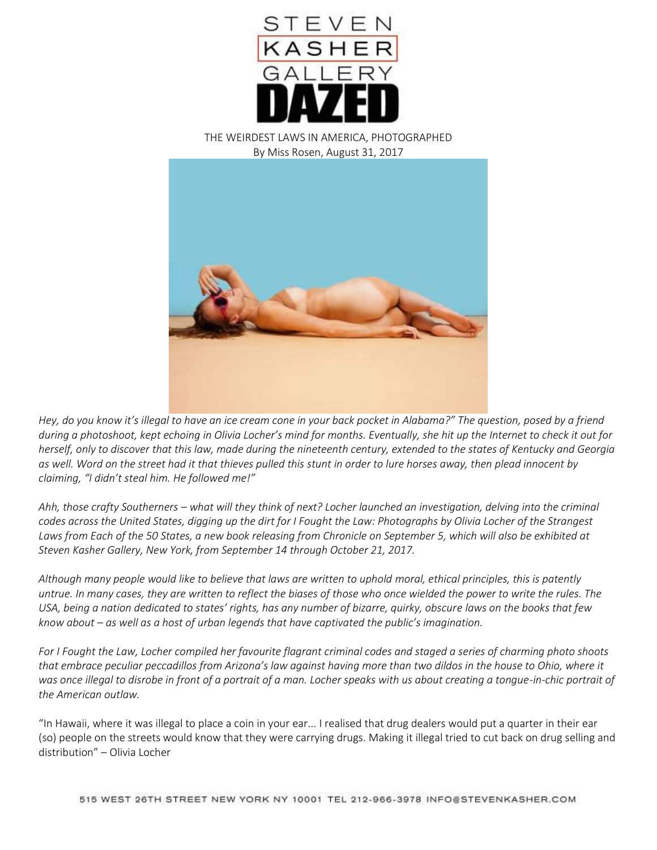

THE WEIRDEST LAWS IN AMERICA, PHOTOGRAPHED By Miss Rosen, August 31, 2017



*Hey, do you know it's illegal to have an ice cream cone in your back pocket in Alabama?" The question, posed by a friend during a photoshoot, kept echoing in Olivia Locher's mind for months. Eventually, she hit up the Internet to check it out for herself, only to discover that this law, made during the nineteenth century, extended to the states of Kentucky and Georgia as well. Word on the street had it that thieves pulled this stunt in order to lure horses away, then plead innocent by claiming, "I didn't steal him. He followed me!"*

*Ahh, those crafty Southerners – what will they think of next? Locher launched an investigation, delving into the criminal codes across the United States, digging up the dirt for I Fought the Law: Photographs by Olivia Locher of the Strangest Laws from Each of the 50 States, a new book releasing from Chronicle on September 5, which will also be exhibited at Steven Kasher Gallery, New York, from September 14 through October 21, 2017.*

*Although many people would like to believe that laws are written to uphold moral, ethical principles, this is patently untrue. In many cases, they are written to reflect the biases of those who once wielded the power to write the rules. The USA, being a nation dedicated to states' rights, has any number of bizarre, quirky, obscure laws on the books that few know about – as well as a host of urban legends that have captivated the public's imagination.*

*For I Fought the Law, Locher compiled her favourite flagrant criminal codes and staged a series of charming photo shoots that embrace peculiar peccadillos from Arizona's law against having more than two dildos in the house to Ohio, where it was once illegal to disrobe in front of a portrait of a man. Locher speaks with us about creating a tongue-in-chic portrait of the American outlaw.*

"In Hawaii, where it was illegal to place a coin in your ear... I realised that drug dealers would put a quarter in their ear (so) people on the streets would know that they were carrying drugs. Making it illegal tried to cut back on drug selling and distribution" – Olivia Locher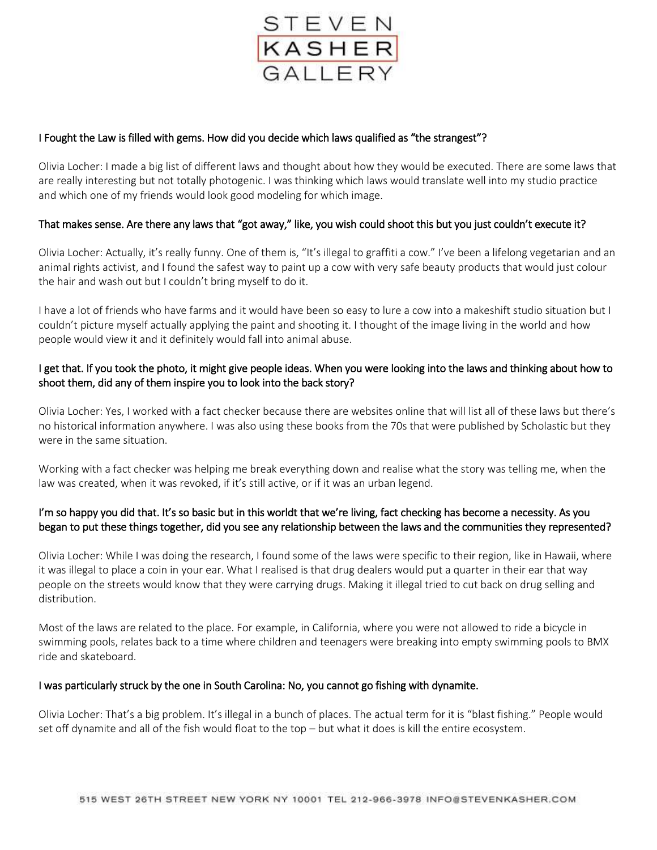

## I Fought the Law is filled with gems. How did you decide which laws qualified as "the strangest"?

Olivia Locher: I made a big list of different laws and thought about how they would be executed. There are some laws that are really interesting but not totally photogenic. I was thinking which laws would translate well into my studio practice and which one of my friends would look good modeling for which image.

### That makes sense. Are there any laws that "got away," like, you wish could shoot this but you just couldn't execute it?

Olivia Locher: Actually, it's really funny. One of them is, "It's illegal to graffiti a cow." I've been a lifelong vegetarian and an animal rights activist, and I found the safest way to paint up a cow with very safe beauty products that would just colour the hair and wash out but I couldn't bring myself to do it.

I have a lot of friends who have farms and it would have been so easy to lure a cow into a makeshift studio situation but I couldn't picture myself actually applying the paint and shooting it. I thought of the image living in the world and how people would view it and it definitely would fall into animal abuse.

## I get that. If you took the photo, it might give people ideas. When you were looking into the laws and thinking about how to shoot them, did any of them inspire you to look into the back story?

Olivia Locher: Yes, I worked with a fact checker because there are websites online that will list all of these laws but there's no historical information anywhere. I was also using these books from the 70s that were published by Scholastic but they were in the same situation.

Working with a fact checker was helping me break everything down and realise what the story was telling me, when the law was created, when it was revoked, if it's still active, or if it was an urban legend.

# I'm so happy you did that. It's so basic but in this worldt that we're living, fact checking has become a necessity. As you began to put these things together, did you see any relationship between the laws and the communities they represented?

Olivia Locher: While I was doing the research, I found some of the laws were specific to their region, like in Hawaii, where it was illegal to place a coin in your ear. What I realised is that drug dealers would put a quarter in their ear that way people on the streets would know that they were carrying drugs. Making it illegal tried to cut back on drug selling and distribution.

Most of the laws are related to the place. For example, in California, where you were not allowed to ride a bicycle in swimming pools, relates back to a time where children and teenagers were breaking into empty swimming pools to BMX ride and skateboard.

#### I was particularly struck by the one in South Carolina: No, you cannot go fishing with dynamite.

Olivia Locher: That's a big problem. It's illegal in a bunch of places. The actual term for it is "blast fishing." People would set off dynamite and all of the fish would float to the top – but what it does is kill the entire ecosystem.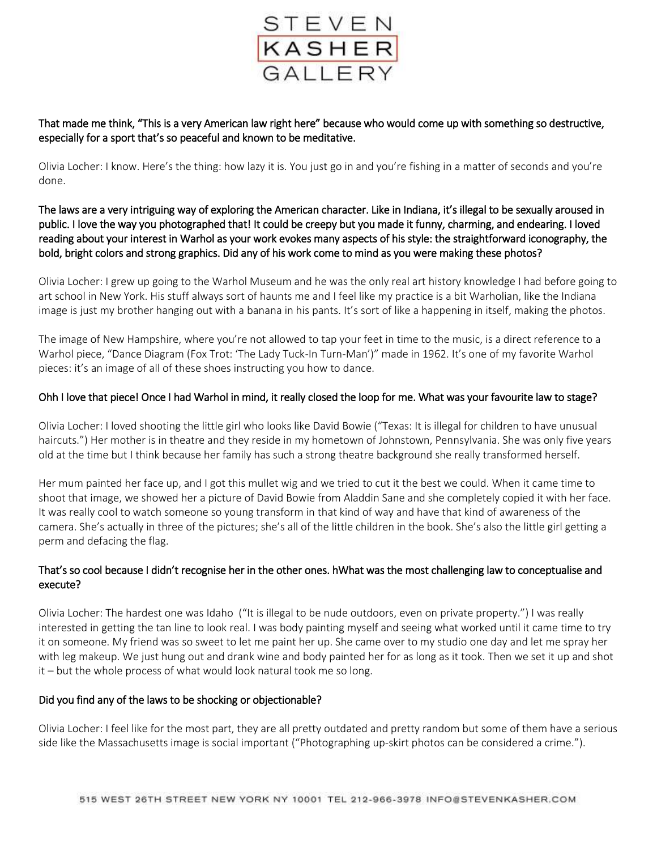

That made me think, "This is a very American law right here" because who would come up with something so destructive, especially for a sport that's so peaceful and known to be meditative.

Olivia Locher: I know. Here's the thing: how lazy it is. You just go in and you're fishing in a matter of seconds and you're done.

The laws are a very intriguing way of exploring the American character. Like in Indiana, it's illegal to be sexually aroused in public. I love the way you photographed that! It could be creepy but you made it funny, charming, and endearing. I loved reading about your interest in Warhol as your work evokes many aspects of his style: the straightforward iconography, the bold, bright colors and strong graphics. Did any of his work come to mind as you were making these photos?

Olivia Locher: I grew up going to the Warhol Museum and he was the only real art history knowledge I had before going to art school in New York. His stuff always sort of haunts me and I feel like my practice is a bit Warholian, like the Indiana image is just my brother hanging out with a banana in his pants. It's sort of like a happening in itself, making the photos.

The image of New Hampshire, where you're not allowed to tap your feet in time to the music, is a direct reference to a Warhol piece, "Dance Diagram (Fox Trot: 'The Lady Tuck-In Turn-Man')" made in 1962. It's one of my favorite Warhol pieces: it's an image of all of these shoes instructing you how to dance.

#### Ohh I love that piece! Once I had Warhol in mind, it really closed the loop for me. What was your favourite law to stage?

Olivia Locher: I loved shooting the little girl who looks like David Bowie ("Texas: It is illegal for children to have unusual haircuts.") Her mother is in theatre and they reside in my hometown of Johnstown, Pennsylvania. She was only five years old at the time but I think because her family has such a strong theatre background she really transformed herself.

Her mum painted her face up, and I got this mullet wig and we tried to cut it the best we could. When it came time to shoot that image, we showed her a picture of David Bowie from Aladdin Sane and she completely copied it with her face. It was really cool to watch someone so young transform in that kind of way and have that kind of awareness of the camera. She's actually in three of the pictures; she's all of the little children in the book. She's also the little girl getting a perm and defacing the flag.

# That's so cool because I didn't recognise her in the other ones. hWhat was the most challenging law to conceptualise and execute?

Olivia Locher: The hardest one was Idaho ("It is illegal to be nude outdoors, even on private property.") I was really interested in getting the tan line to look real. I was body painting myself and seeing what worked until it came time to try it on someone. My friend was so sweet to let me paint her up. She came over to my studio one day and let me spray her with leg makeup. We just hung out and drank wine and body painted her for as long as it took. Then we set it up and shot it – but the whole process of what would look natural took me so long.

#### Did you find any of the laws to be shocking or objectionable?

Olivia Locher: I feel like for the most part, they are all pretty outdated and pretty random but some of them have a serious side like the Massachusetts image is social important ("Photographing up-skirt photos can be considered a crime.").